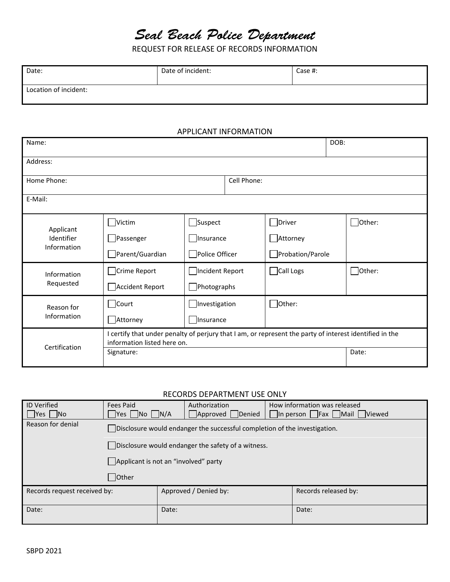# Seal Beach Police Department

REQUEST FOR RELEASE OF RECORDS INFORMATION

| Date:                 | Date of incident: | Case #: |
|-----------------------|-------------------|---------|
| Location of incident: |                   |         |

#### APPLICANT INFORMATION

| Name:                                  |                                                                                                                                        | DOB:               |                  |               |  |  |  |
|----------------------------------------|----------------------------------------------------------------------------------------------------------------------------------------|--------------------|------------------|---------------|--|--|--|
| Address:                               |                                                                                                                                        |                    |                  |               |  |  |  |
| Home Phone:                            |                                                                                                                                        |                    |                  |               |  |  |  |
| E-Mail:                                |                                                                                                                                        |                    |                  |               |  |  |  |
| Applicant<br>Identifier<br>Information | Victim                                                                                                                                 | $\Box$ Suspect     | $\Box$ Driver    | $\Box$ Other: |  |  |  |
|                                        | Passenger                                                                                                                              | Insurance          | Attorney         |               |  |  |  |
|                                        | Parent/Guardian                                                                                                                        | Police Officer     | Probation/Parole |               |  |  |  |
| Information<br>Requested               | Crime Report                                                                                                                           | □Incident Report   | Call Logs        | $\Box$ Other: |  |  |  |
|                                        | Accident Report                                                                                                                        | $\Box$ Photographs |                  |               |  |  |  |
| Reason for<br>Information              | Court                                                                                                                                  | Investigation      | $\Box$ Other:    |               |  |  |  |
|                                        | Attorney                                                                                                                               | Insurance          |                  |               |  |  |  |
| Certification                          | I certify that under penalty of perjury that I am, or represent the party of interest identified in the<br>information listed here on. |                    |                  |               |  |  |  |
|                                        | Signature:                                                                                                                             |                    |                  | Date:         |  |  |  |

## RECORDS DEPARTMENT USE ONLY

| <b>ID Verified</b>           | Fees Paid                                                                         |       | Authorization         |  | How information was released |  |
|------------------------------|-----------------------------------------------------------------------------------|-------|-----------------------|--|------------------------------|--|
| $\Box$ Yes $\Box$ No         | $\Box$ Yes $\Box$ No $\Box$ N/A                                                   |       | Approved Denied       |  | In person Fax Mail Viewed    |  |
| Reason for denial            | $\vert$ Disclosure would endanger the successful completion of the investigation. |       |                       |  |                              |  |
|                              | Disclosure would endanger the safety of a witness.                                |       |                       |  |                              |  |
|                              | Applicant is not an "involved" party                                              |       |                       |  |                              |  |
|                              | Other                                                                             |       |                       |  |                              |  |
| Records request received by: |                                                                                   |       | Approved / Denied by: |  | Records released by:         |  |
| Date:                        |                                                                                   | Date: |                       |  | Date:                        |  |